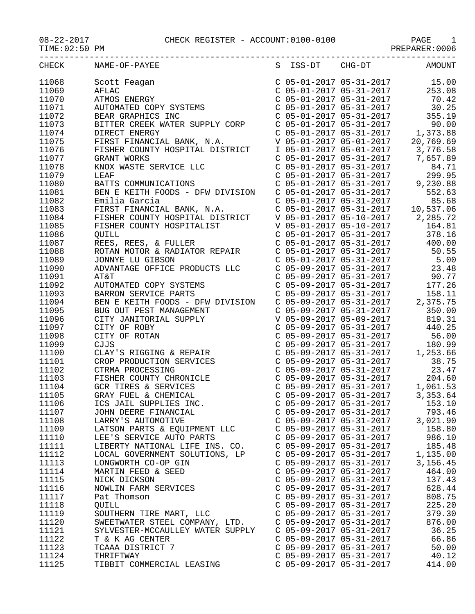## 08-22-2017 CHECK REGISTER - ACCOUNT:0100-0100 PAGE 1

| TIME: 02:50 PM |                                                                                                               |                                                                                                                                                                                                                              | PREPARER: 0006                                                                                                                |
|----------------|---------------------------------------------------------------------------------------------------------------|------------------------------------------------------------------------------------------------------------------------------------------------------------------------------------------------------------------------------|-------------------------------------------------------------------------------------------------------------------------------|
| CHECK          | NAME-OF-PAYEE                                                                                                 | S ISS-DT CHG-DT                                                                                                                                                                                                              | <b>AMOUNT</b>                                                                                                                 |
| 11068          | Scott Feagan                                                                                                  |                                                                                                                                                                                                                              |                                                                                                                               |
| 11069          | AFLAC                                                                                                         |                                                                                                                                                                                                                              | $\begin{array}{cccc}\nC & 05-01-2017 & 05-31-2017 & & 15.00 \\ C & 05-01-2017 & 05-31-2017 & & 253.08\n\end{array}$<br>253.08 |
|                |                                                                                                               | $C$ 05-01-2017 05-31-2017                                                                                                                                                                                                    |                                                                                                                               |
| 11070          | ATMOS ENERGY                                                                                                  |                                                                                                                                                                                                                              | 70.42                                                                                                                         |
| 11071          | AUTOMATED COPY SYSTEMS                                                                                        | $C$ 05-01-2017 05-31-2017                                                                                                                                                                                                    | 30.25                                                                                                                         |
| 11072          | BEAR GRAPHICS INC                                                                                             | C 05-01-2017 05-31-2017                                                                                                                                                                                                      | 355.19                                                                                                                        |
| 11073          | BITTER CREEK WATER SUPPLY CORP                                                                                |                                                                                                                                                                                                                              |                                                                                                                               |
| 11074          | DIRECT ENERGY                                                                                                 |                                                                                                                                                                                                                              |                                                                                                                               |
| 11075          | FIRST FINANCIAL BANK, N.A.                                                                                    |                                                                                                                                                                                                                              |                                                                                                                               |
| 11076          | FISHER COUNTY HOSPITAL DISTRICT                                                                               |                                                                                                                                                                                                                              | I 05-01-2017 05-01-2017 3,776.58                                                                                              |
| 11077          | GRANT WORKS                                                                                                   | C 05-01-2017 05-31-2017                                                                                                                                                                                                      | 7,657.89                                                                                                                      |
| 11078          | KNOX WASTE SERVICE LLC                                                                                        | $C$ 05-01-2017 05-31-2017                                                                                                                                                                                                    | 84.71                                                                                                                         |
| 11079          | LEAF                                                                                                          | $C$ 05-01-2017 05-31-2017<br>$\begin{array}{ccccccccc}\n & -5 & -201 & 05 & -31 & -2017 \\ C & 05 & -01 & -2017 & 05 & -31 & -2017 \\ C & 05 & -01 & -2017 & 05 & -31 & -2017 \\ C & 05 & -01 & -2017 & 05 & 0\n\end{array}$ | 299.95                                                                                                                        |
| 11080          | BATTS COMMUNICATIONS                                                                                          |                                                                                                                                                                                                                              | 9,230.88                                                                                                                      |
| 11081          | BEN E KEITH FOODS - DFW DIVISION                                                                              |                                                                                                                                                                                                                              | 552.63                                                                                                                        |
| 11082          | Emilia Garcia                                                                                                 | C 05-01-2017 05-31-2017                                                                                                                                                                                                      | 85.68                                                                                                                         |
| 11083          | FIRST FINANCIAL BANK, N.A.                                                                                    |                                                                                                                                                                                                                              | C 05-01-2017 05-31-2017 10,537.06                                                                                             |
| 11084          | FISHER COUNTY HOSPITAL DISTRICT                                                                               | V 05-01-2017 05-10-2017                                                                                                                                                                                                      | 2,285.72                                                                                                                      |
| 11085          | FISHER COUNTY HOSPITALIST                                                                                     | V 05-01-2017 05-10-2017                                                                                                                                                                                                      | 164.81                                                                                                                        |
| 11086          | QUILL                                                                                                         | $C$ 05-01-2017 05-31-2017                                                                                                                                                                                                    | 378.16                                                                                                                        |
| 11087          | REES, REES, & FULLER                                                                                          | $C$ 05-01-2017 05-31-2017                                                                                                                                                                                                    | 400.00                                                                                                                        |
| 11088          | ROTAN MOTOR & RADIATOR REPAIR                                                                                 | $C$ 05-01-2017 05-31-2017                                                                                                                                                                                                    | 50.55                                                                                                                         |
|                |                                                                                                               |                                                                                                                                                                                                                              |                                                                                                                               |
| 11089          | JONNYE LU GIBSON                                                                                              | $C$ 05-01-2017 05-31-2017                                                                                                                                                                                                    | 5.00                                                                                                                          |
| 11090          | ADVANTAGE OFFICE PRODUCTS LLC                                                                                 | C 05-09-2017 05-31-2017<br>C 05-09-2017 05-31-2017                                                                                                                                                                           | 23.48<br>90.77                                                                                                                |
| 11091          | AT&T                                                                                                          |                                                                                                                                                                                                                              |                                                                                                                               |
| 11092          | AUTOMATED COPY SYSTEMS                                                                                        | $C$ 05-09-2017 05-31-2017                                                                                                                                                                                                    | 177.26                                                                                                                        |
| 11093          | BARRON SERVICE PARTS                                                                                          | $C$ 05-09-2017 05-31-2017                                                                                                                                                                                                    | 158.11                                                                                                                        |
| 11094          | BEN E KEITH FOODS - DFW DIVISION                                                                              | C 05-09-2017 05-31-2017                                                                                                                                                                                                      | 2,375.75                                                                                                                      |
| 11095          | BUG OUT PEST MANAGEMENT<br>BUG OUT PEST MANAGEMENT<br>CITY JANITORIAL SUPPLY<br>CITY OF ROBY<br>CITY OF ROTAN | $C$ 05-09-2017 05-31-2017                                                                                                                                                                                                    | 350.00                                                                                                                        |
| 11096          |                                                                                                               | V 05-09-2017 05-09-2017                                                                                                                                                                                                      | 819.31                                                                                                                        |
| 11097          |                                                                                                               | $C$ 05-09-2017 05-31-2017                                                                                                                                                                                                    | 440.25                                                                                                                        |
| 11098          |                                                                                                               | C 05-09-2017 05-31-2017                                                                                                                                                                                                      | 56.00                                                                                                                         |
| 11099          | CJJS                                                                                                          | C 05-09-2017 05-31-2017                                                                                                                                                                                                      | 180.99                                                                                                                        |
| 11100          | CLAY'S RIGGING & REPAIR                                                                                       | $C$ 05-09-2017 05-31-2017                                                                                                                                                                                                    | 1,253.66                                                                                                                      |
| 11101          | CROP PRODUCTION SERVICES                                                                                      |                                                                                                                                                                                                                              | 38.75                                                                                                                         |
| 11102          | CTRMA PROCESSING                                                                                              | C 05-09-2017 05-31-2017<br>C 05-09-2017 05-31-2017                                                                                                                                                                           | 23.47                                                                                                                         |
| 11103          | FISHER COUNTY CHRONICLE                                                                                       | C 05-09-2017 05-31-2017                                                                                                                                                                                                      | 204.60                                                                                                                        |
| 11104          | GCR TIRES & SERVICES                                                                                          | $C$ 05-09-2017 05-31-2017                                                                                                                                                                                                    | 1,061.53                                                                                                                      |
| 11105          | GRAY FUEL & CHEMICAL                                                                                          | $C$ 05-09-2017 05-31-2017                                                                                                                                                                                                    | 3,353.64                                                                                                                      |
| 11106          | ICS JAIL SUPPLIES INC.                                                                                        | $C$ 05-09-2017 05-31-2017                                                                                                                                                                                                    | 153.10                                                                                                                        |
| 11107          | JOHN DEERE FINANCIAL                                                                                          | $C$ 05-09-2017 05-31-2017                                                                                                                                                                                                    | 793.46                                                                                                                        |
| 11108          | LARRY'S AUTOMOTIVE                                                                                            | $C$ 05-09-2017 05-31-2017                                                                                                                                                                                                    | 3,021.90                                                                                                                      |
| 11109          |                                                                                                               | $C$ 05-09-2017 05-31-2017                                                                                                                                                                                                    |                                                                                                                               |
|                | LATSON PARTS & EQUIPMENT LLC                                                                                  |                                                                                                                                                                                                                              | 158.80                                                                                                                        |
| 11110          | LEE'S SERVICE AUTO PARTS                                                                                      | $C$ 05-09-2017 05-31-2017                                                                                                                                                                                                    | 986.10                                                                                                                        |
| 11111          | LIBERTY NATIONAL LIFE INS. CO.                                                                                | $C$ 05-09-2017 05-31-2017                                                                                                                                                                                                    | 185.48                                                                                                                        |
| 11112          | LOCAL GOVERNMENT SOLUTIONS, LP                                                                                | $C$ 05-09-2017 05-31-2017                                                                                                                                                                                                    | 1,135.00                                                                                                                      |
| 11113          | LONGWORTH CO-OP GIN                                                                                           | C 05-09-2017 05-31-2017                                                                                                                                                                                                      | 3,156.45                                                                                                                      |
| 11114          | MARTIN FEED & SEED                                                                                            | C 05-09-2017 05-31-2017                                                                                                                                                                                                      | 464.00                                                                                                                        |
| 11115          | NICK DICKSON                                                                                                  | $C$ 05-09-2017 05-31-2017                                                                                                                                                                                                    | 137.43                                                                                                                        |
| 11116          | NOWLIN FARM SERVICES                                                                                          | $C$ 05-09-2017 05-31-2017                                                                                                                                                                                                    | 628.44                                                                                                                        |
| 11117          | Pat Thomson                                                                                                   | $C$ 05-09-2017 05-31-2017                                                                                                                                                                                                    | 808.75                                                                                                                        |
| 11118          | <b>QUILL</b>                                                                                                  | $C$ 05-09-2017 05-31-2017                                                                                                                                                                                                    | 225.20                                                                                                                        |
| 11119          | SOUTHERN TIRE MART, LLC                                                                                       | $C$ 05-09-2017 05-31-2017                                                                                                                                                                                                    | 379.30                                                                                                                        |
| 11120          | SWEETWATER STEEL COMPANY, LTD.                                                                                | $C$ 05-09-2017 05-31-2017                                                                                                                                                                                                    | 876.00                                                                                                                        |
| 11121          | SYLVESTER-MCCAULLEY WATER SUPPLY                                                                              | $C$ 05-09-2017 05-31-2017                                                                                                                                                                                                    | 36.25                                                                                                                         |
| 11122          | T & K AG CENTER                                                                                               | C 05-09-2017 05-31-2017                                                                                                                                                                                                      | 66.86                                                                                                                         |
| 11123          | TCAAA DISTRICT 7                                                                                              | $C$ 05-09-2017 05-31-2017                                                                                                                                                                                                    | 50.00                                                                                                                         |
| 11124          | THRIFTWAY                                                                                                     | $C$ 05-09-2017 05-31-2017                                                                                                                                                                                                    | 40.12                                                                                                                         |
| 11125          | TIBBIT COMMERCIAL LEASING                                                                                     | C 05-09-2017 05-31-2017                                                                                                                                                                                                      | 414.00                                                                                                                        |
|                |                                                                                                               |                                                                                                                                                                                                                              |                                                                                                                               |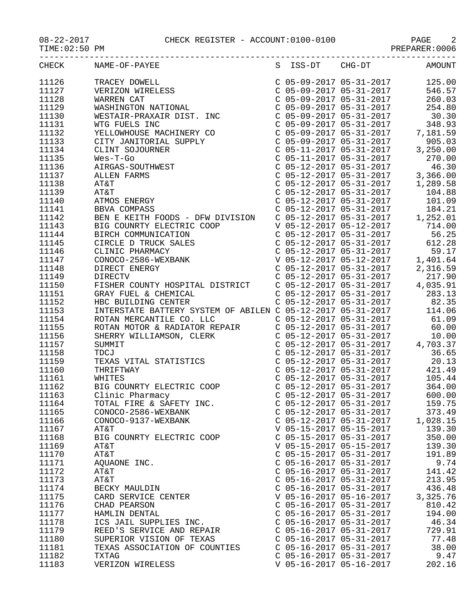08-22-2017 CHECK REGISTER - ACCOUNT:0100-0100 PAGE 2

|       | CHECK NAME-OF-PAYEE<br>$\begin{tabular}{l cccc} \hline {\bf 18.4848-01^{\circ}+1.84488-01^{\circ}+1.84488-01^{\circ}+1.84488-01^{\circ}+1.84488-01^{\circ}+1.84488-01^{\circ}+1.84488-01^{\circ}+1.84488-01^{\circ}+1.84488-01^{\circ}+1.84488-01^{\circ}+1.84488-01^{\circ}+1.84488-01^{\circ}+1.84488-01^{\circ}+1.84488-0$ |                           | S ISS-DT CHG-DT AMOUNT |
|-------|-------------------------------------------------------------------------------------------------------------------------------------------------------------------------------------------------------------------------------------------------------------------------------------------------------------------------------|---------------------------|------------------------|
| 11126 |                                                                                                                                                                                                                                                                                                                               |                           |                        |
| 11127 |                                                                                                                                                                                                                                                                                                                               |                           |                        |
| 11128 |                                                                                                                                                                                                                                                                                                                               |                           |                        |
| 11129 |                                                                                                                                                                                                                                                                                                                               |                           |                        |
| 11130 |                                                                                                                                                                                                                                                                                                                               |                           |                        |
| 11131 |                                                                                                                                                                                                                                                                                                                               |                           |                        |
| 11132 |                                                                                                                                                                                                                                                                                                                               |                           |                        |
| 11133 |                                                                                                                                                                                                                                                                                                                               |                           |                        |
| 11134 |                                                                                                                                                                                                                                                                                                                               |                           |                        |
| 11135 |                                                                                                                                                                                                                                                                                                                               |                           |                        |
| 11136 |                                                                                                                                                                                                                                                                                                                               |                           |                        |
| 11137 |                                                                                                                                                                                                                                                                                                                               |                           |                        |
| 11138 |                                                                                                                                                                                                                                                                                                                               |                           |                        |
| 11139 | ALL<br>AT&T<br>CTMO                                                                                                                                                                                                                                                                                                           |                           |                        |
| 11140 |                                                                                                                                                                                                                                                                                                                               |                           |                        |
| 11141 |                                                                                                                                                                                                                                                                                                                               |                           |                        |
| 11142 |                                                                                                                                                                                                                                                                                                                               |                           |                        |
| 11143 |                                                                                                                                                                                                                                                                                                                               |                           |                        |
| 11144 |                                                                                                                                                                                                                                                                                                                               |                           |                        |
| 11145 |                                                                                                                                                                                                                                                                                                                               |                           |                        |
| 11146 |                                                                                                                                                                                                                                                                                                                               |                           |                        |
| 11147 |                                                                                                                                                                                                                                                                                                                               |                           |                        |
| 11148 |                                                                                                                                                                                                                                                                                                                               |                           |                        |
| 11149 |                                                                                                                                                                                                                                                                                                                               |                           |                        |
| 11150 |                                                                                                                                                                                                                                                                                                                               |                           |                        |
| 11151 |                                                                                                                                                                                                                                                                                                                               |                           |                        |
| 11152 |                                                                                                                                                                                                                                                                                                                               |                           |                        |
| 11153 |                                                                                                                                                                                                                                                                                                                               |                           |                        |
| 11154 |                                                                                                                                                                                                                                                                                                                               |                           |                        |
| 11155 |                                                                                                                                                                                                                                                                                                                               |                           |                        |
| 11156 |                                                                                                                                                                                                                                                                                                                               |                           |                        |
| 11157 |                                                                                                                                                                                                                                                                                                                               |                           |                        |
| 11158 |                                                                                                                                                                                                                                                                                                                               |                           |                        |
| 11159 |                                                                                                                                                                                                                                                                                                                               |                           |                        |
| 11160 |                                                                                                                                                                                                                                                                                                                               |                           |                        |
| 11161 |                                                                                                                                                                                                                                                                                                                               |                           |                        |
| 11162 |                                                                                                                                                                                                                                                                                                                               |                           |                        |
| 11163 |                                                                                                                                                                                                                                                                                                                               |                           |                        |
| 11164 |                                                                                                                                                                                                                                                                                                                               |                           | 159.75                 |
| 11165 | CONOCO-2586-WEXBANK                                                                                                                                                                                                                                                                                                           | $C$ 05-12-2017 05-31-2017 | 373.49                 |
| 11166 | CONOCO-9137-WEXBANK                                                                                                                                                                                                                                                                                                           | C 05-12-2017 05-31-2017   | 1,028.15               |
| 11167 | AT&T                                                                                                                                                                                                                                                                                                                          | V 05-15-2017 05-15-2017   | 139.30                 |
| 11168 | BIG COUNRTY ELECTRIC COOP                                                                                                                                                                                                                                                                                                     | $C$ 05-15-2017 05-31-2017 | 350.00                 |
| 11169 | AT&T                                                                                                                                                                                                                                                                                                                          | V 05-15-2017 05-15-2017   | 139.30                 |
| 11170 | AT&T                                                                                                                                                                                                                                                                                                                          | C 05-15-2017 05-31-2017   | 191.89                 |
| 11171 | AQUAONE INC.                                                                                                                                                                                                                                                                                                                  | $C$ 05-16-2017 05-31-2017 | 9.74                   |
| 11172 | AT&T                                                                                                                                                                                                                                                                                                                          | C 05-16-2017 05-31-2017   | 141.42                 |
| 11173 | AT&T                                                                                                                                                                                                                                                                                                                          | $C$ 05-16-2017 05-31-2017 | 213.95                 |
| 11174 | BECKY MAULDIN                                                                                                                                                                                                                                                                                                                 | $C$ 05-16-2017 05-31-2017 | 436.48                 |
| 11175 | CARD SERVICE CENTER                                                                                                                                                                                                                                                                                                           | V 05-16-2017 05-16-2017   | 3,325.76               |
| 11176 | CHAD PEARSON                                                                                                                                                                                                                                                                                                                  | $C$ 05-16-2017 05-31-2017 | 810.42                 |
| 11177 | HAMLIN DENTAL                                                                                                                                                                                                                                                                                                                 | $C$ 05-16-2017 05-31-2017 | 194.00                 |
| 11178 | ICS JAIL SUPPLIES INC.                                                                                                                                                                                                                                                                                                        | $C$ 05-16-2017 05-31-2017 | 46.34                  |
| 11179 | REED'S SERVICE AND REPAIR                                                                                                                                                                                                                                                                                                     | $C$ 05-16-2017 05-31-2017 | 729.91                 |
| 11180 | SUPERIOR VISION OF TEXAS                                                                                                                                                                                                                                                                                                      | $C$ 05-16-2017 05-31-2017 | 77.48                  |
| 11181 | TEXAS ASSOCIATION OF COUNTIES                                                                                                                                                                                                                                                                                                 | C 05-16-2017 05-31-2017   | 38.00                  |
| 11182 | <b>TXTAG</b>                                                                                                                                                                                                                                                                                                                  | C 05-16-2017 05-31-2017   | 9.47                   |

11183 VERIZON WIRELESS V 05-16-2017 05-16-2017 202.16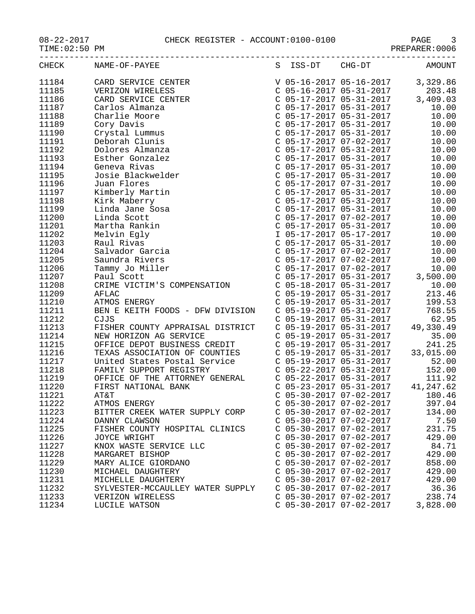08-22-2017 CHECK REGISTER - ACCOUNT:0100-0100 PAGE 3

| TIME OR SO PM<br>PREPARER · 0000 |                                                      |   |                                                        |  |           |
|----------------------------------|------------------------------------------------------|---|--------------------------------------------------------|--|-----------|
| CHECK                            | NAME-OF-PAYEE                                        | S | ISS-DT CHG-DT                                          |  | AMOUNT    |
| 11184                            | CARD SERVICE CENTER                                  |   | V 05-16-2017 05-16-2017                                |  | 3,329.86  |
| 11185                            | VERIZON WIRELESS                                     |   | $C$ 05-16-2017 05-31-2017                              |  | 203.48    |
| 11186                            | CARD SERVICE CENTER                                  |   |                                                        |  | 3,409.03  |
| 11187                            | Carlos Almanza                                       |   | C 05-17-2017 05-31-2017                                |  | 10.00     |
| 11188                            | Charlie Moore                                        |   | C 05-17-2017 05-31-2017                                |  | 10.00     |
| 11189                            | Cory Davis                                           |   | C 05-17-2017 05-31-2017                                |  | 10.00     |
| 11190                            | Crystal Lummus                                       |   | C 05-17-2017 05-31-2017                                |  | 10.00     |
| 11191                            | Deborah Clunis                                       |   |                                                        |  | 10.00     |
| 11192                            | Dolores Almanza                                      |   | C 05-17-2017 07-02-2017<br>C 05-17-2017 05-31-2017     |  | 10.00     |
| 11193                            | Esther Gonzalez                                      |   | C 05-17-2017 05-31-2017                                |  | 10.00     |
| 11194                            | Geneva Rivas                                         |   | C 05-17-2017 05-31-2017                                |  | 10.00     |
| 11195                            | Josie Blackwelder                                    |   | C 05-17-2017 05-31-2017                                |  | 10.00     |
| 11196                            | Juan Flores                                          |   | C 05-17-2017 07-31-2017                                |  | 10.00     |
| 11197                            | Kimberly Martin                                      |   | $C$ 05-17-2017 05-31-2017                              |  | 10.00     |
| 11198                            | Kirk Maberry                                         |   | C 05-17-2017 05-31-2017                                |  | 10.00     |
| 11199                            | Linda Jane Sosa                                      |   | C 05-17-2017 05-31-2017                                |  | 10.00     |
| 11200                            | Linda Scott                                          |   | C 05-17-2017 07-02-2017                                |  | 10.00     |
| 11201                            | Martha Rankin                                        |   | $C$ 05-17-2017 05-31-2017                              |  | 10.00     |
| 11202                            | Melvin Egly                                          |   |                                                        |  | 10.00     |
| 11203                            | Raul Rivas                                           |   | I 05-17-2017 05-17-2017<br>C 05-17-2017 05-31-2017     |  | 10.00     |
| 11204                            | Salvador Garcia                                      |   | C 05-17-2017 07-02-2017                                |  | 10.00     |
| 11205                            | Saundra Rivers                                       |   | C 05-17-2017 07-02-2017                                |  | 10.00     |
| 11206                            | Tammy Jo Miller                                      |   | C 05-17-2017 07-02-2017                                |  | 10.00     |
| 11207                            | Paul Scott                                           |   |                                                        |  | 3,500.00  |
| 11208                            | CRIME VICTIM'S COMPENSATION                          |   | $C$ 05-17-2017 05-31-2017<br>$C$ 05-18-2017 05-31-2017 |  | 10.00     |
| 11209                            | AFLAC                                                |   | C 05-19-2017 05-31-2017                                |  | 213.46    |
| 11210                            | ATMOS ENERGY                                         |   | C 05-19-2017 05-31-2017                                |  | 199.53    |
| 11211                            | BEN E KEITH FOODS - DFW DIVISION                     |   | $C$ 05-19-2017 05-31-2017                              |  | 768.55    |
| 11212                            | CJJS                                                 |   | $C$ 05-19-2017 05-31-2017                              |  | 62.95     |
| 11213                            | FISHER COUNTY APPRAISAL DISTRICT                     |   | $C$ 05-19-2017 05-31-2017                              |  | 49,330.49 |
| 11214                            | NEW HORIZON AG SERVICE                               |   | $C$ 05-19-2017 05-31-2017                              |  | 35.00     |
| 11215                            | OFFICE DEPOT BUSINESS CREDIT                         |   | C 05-19-2017 05-31-2017                                |  | 241.25    |
| 11216                            | TEXAS ASSOCIATION OF COUNTIES                        |   | C 05-19-2017 05-31-2017                                |  | 33,015.00 |
| 11217                            | United States Postal Service C 05-19-2017 05-31-2017 |   |                                                        |  | 52.00     |
| 11218                            | FAMILY SUPPORT REGISTRY                              |   | $C$ 05-22-2017 05-31-2017                              |  | 152.00    |
| 11219                            | OFFICE OF THE ATTORNEY GENERAL                       |   | C 05-22-2017 05-31-2017                                |  | 111.92    |
| 11220                            | FIRST NATIONAL BANK                                  |   | $C$ 05-23-2017 05-31-2017                              |  | 41,247.62 |
| 11221                            | AT&T                                                 |   | $C$ 05-30-2017 07-02-2017                              |  | 180.46    |
| 11222                            | ATMOS ENERGY                                         |   | $C$ 05-30-2017 07-02-2017                              |  | 397.04    |
| 11223                            | BITTER CREEK WATER SUPPLY CORP                       |   | $C$ 05-30-2017 07-02-2017                              |  | 134.00    |
| 11224                            | DANNY CLAWSON                                        |   | C 05-30-2017 07-02-2017                                |  | 7.50      |
| 11225                            | FISHER COUNTY HOSPITAL CLINICS                       |   | C 05-30-2017 07-02-2017                                |  | 231.75    |
| 11226                            | JOYCE WRIGHT                                         |   | $C$ 05-30-2017 07-02-2017                              |  | 429.00    |
| 11227                            | KNOX WASTE SERVICE LLC                               |   | C 05-30-2017 07-02-2017                                |  | 84.71     |
| 11228                            | MARGARET BISHOP                                      |   | C 05-30-2017 07-02-2017                                |  | 429.00    |
| 11229                            | MARY ALICE GIORDANO                                  |   | $C$ 05-30-2017 07-02-2017                              |  | 858.00    |
| 11230                            | MICHAEL DAUGHTERY                                    |   | $C$ 05-30-2017 07-02-2017                              |  | 429.00    |
| 11231                            | MICHELLE DAUGHTERY                                   |   | $C$ 05-30-2017 07-02-2017                              |  | 429.00    |
| 11232                            | SYLVESTER-MCCAULLEY WATER SUPPLY                     |   | $C$ 05-30-2017 07-02-2017                              |  | 36.36     |
| 11233                            | VERIZON WIRELESS                                     |   | $C$ 05-30-2017 07-02-2017                              |  | 238.74    |
| 11234                            | LUCILE WATSON                                        |   | C 05-30-2017 07-02-2017                                |  | 3,828.00  |
|                                  |                                                      |   |                                                        |  |           |